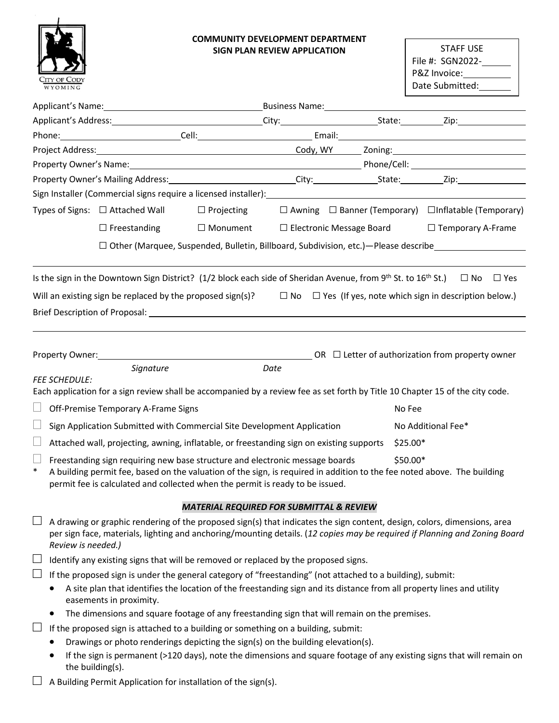

## **COMMUNITY DEVELOPMENT DEPARTMENT SIGN PLAN REVIEW APPLICATION**

STAFF USE File #: SGN2022-P&Z Invoice: Date Submitted:

| Applicant's Name: Name and Applicant's Name and Applicant's Name and Applicant's Name and Applicant Applicant M |                                                                                                                                                                                                                                                                                                      |                                                     |                                 |                                                                       |  |  |  |  |  |
|-----------------------------------------------------------------------------------------------------------------|------------------------------------------------------------------------------------------------------------------------------------------------------------------------------------------------------------------------------------------------------------------------------------------------------|-----------------------------------------------------|---------------------------------|-----------------------------------------------------------------------|--|--|--|--|--|
|                                                                                                                 |                                                                                                                                                                                                                                                                                                      |                                                     |                                 |                                                                       |  |  |  |  |  |
|                                                                                                                 |                                                                                                                                                                                                                                                                                                      |                                                     |                                 |                                                                       |  |  |  |  |  |
|                                                                                                                 |                                                                                                                                                                                                                                                                                                      |                                                     |                                 |                                                                       |  |  |  |  |  |
|                                                                                                                 |                                                                                                                                                                                                                                                                                                      |                                                     |                                 |                                                                       |  |  |  |  |  |
|                                                                                                                 |                                                                                                                                                                                                                                                                                                      |                                                     |                                 |                                                                       |  |  |  |  |  |
|                                                                                                                 | Sign Installer (Commercial signs require a licensed installer):                                                                                                                                                                                                                                      |                                                     |                                 |                                                                       |  |  |  |  |  |
|                                                                                                                 | Types of Signs: $\Box$ Attached Wall<br>$\Box$ Projecting                                                                                                                                                                                                                                            |                                                     |                                 | $\Box$ Awning $\Box$ Banner (Temporary) $\Box$ Inflatable (Temporary) |  |  |  |  |  |
|                                                                                                                 | $\Box$ Freestanding<br>□ Monument                                                                                                                                                                                                                                                                    |                                                     | $\Box$ Electronic Message Board | $\Box$ Temporary A-Frame                                              |  |  |  |  |  |
|                                                                                                                 | $\Box$ Other (Marquee, Suspended, Bulletin, Billboard, Subdivision, etc.) - Please describe                                                                                                                                                                                                          |                                                     |                                 |                                                                       |  |  |  |  |  |
|                                                                                                                 | Is the sign in the Downtown Sign District? (1/2 block each side of Sheridan Avenue, from 9 <sup>th</sup> St. to 16 <sup>th</sup> St.)                                                                                                                                                                |                                                     |                                 | $\square$ No<br>$\Box$ Yes                                            |  |  |  |  |  |
|                                                                                                                 |                                                                                                                                                                                                                                                                                                      |                                                     |                                 |                                                                       |  |  |  |  |  |
|                                                                                                                 | Will an existing sign be replaced by the proposed sign(s)? $\square$ No $\square$ Yes (If yes, note which sign in description below.)                                                                                                                                                                |                                                     |                                 |                                                                       |  |  |  |  |  |
|                                                                                                                 | Brief Description of Proposal: University of American American Control of American American Control of Proposal                                                                                                                                                                                      |                                                     |                                 |                                                                       |  |  |  |  |  |
|                                                                                                                 |                                                                                                                                                                                                                                                                                                      |                                                     |                                 |                                                                       |  |  |  |  |  |
|                                                                                                                 |                                                                                                                                                                                                                                                                                                      |                                                     |                                 |                                                                       |  |  |  |  |  |
|                                                                                                                 | Signature                                                                                                                                                                                                                                                                                            | Date                                                |                                 |                                                                       |  |  |  |  |  |
| <b>FEE SCHEDULE:</b>                                                                                            |                                                                                                                                                                                                                                                                                                      |                                                     |                                 |                                                                       |  |  |  |  |  |
|                                                                                                                 | Each application for a sign review shall be accompanied by a review fee as set forth by Title 10 Chapter 15 of the city code.                                                                                                                                                                        |                                                     |                                 |                                                                       |  |  |  |  |  |
| Ш                                                                                                               | Off-Premise Temporary A-Frame Signs                                                                                                                                                                                                                                                                  |                                                     | No Fee                          |                                                                       |  |  |  |  |  |
|                                                                                                                 | Sign Application Submitted with Commercial Site Development Application                                                                                                                                                                                                                              |                                                     |                                 | No Additional Fee*                                                    |  |  |  |  |  |
| $$25.00*$<br>Attached wall, projecting, awning, inflatable, or freestanding sign on existing supports           |                                                                                                                                                                                                                                                                                                      |                                                     |                                 |                                                                       |  |  |  |  |  |
| Ш<br>$\ast$                                                                                                     | \$50.00*<br>Freestanding sign requiring new base structure and electronic message boards<br>A building permit fee, based on the valuation of the sign, is required in addition to the fee noted above. The building<br>permit fee is calculated and collected when the permit is ready to be issued. |                                                     |                                 |                                                                       |  |  |  |  |  |
|                                                                                                                 |                                                                                                                                                                                                                                                                                                      | <b>MATERIAL REQUIRED FOR SUBMITTAL &amp; REVIEW</b> |                                 |                                                                       |  |  |  |  |  |
|                                                                                                                 | A drawing or graphic rendering of the proposed sign(s) that indicates the sign content, design, colors, dimensions, area<br>per sign face, materials, lighting and anchoring/mounting details. (12 copies may be required if Planning and Zoning Board<br>Review is needed.)                         |                                                     |                                 |                                                                       |  |  |  |  |  |
| $\Box$                                                                                                          | Identify any existing signs that will be removed or replaced by the proposed signs.                                                                                                                                                                                                                  |                                                     |                                 |                                                                       |  |  |  |  |  |
| ⊔                                                                                                               | If the proposed sign is under the general category of "freestanding" (not attached to a building), submit:                                                                                                                                                                                           |                                                     |                                 |                                                                       |  |  |  |  |  |
|                                                                                                                 | A site plan that identifies the location of the freestanding sign and its distance from all property lines and utility<br>easements in proximity.                                                                                                                                                    |                                                     |                                 |                                                                       |  |  |  |  |  |
|                                                                                                                 | The dimensions and square footage of any freestanding sign that will remain on the premises.                                                                                                                                                                                                         |                                                     |                                 |                                                                       |  |  |  |  |  |
| ⊔                                                                                                               | If the proposed sign is attached to a building or something on a building, submit:                                                                                                                                                                                                                   |                                                     |                                 |                                                                       |  |  |  |  |  |
|                                                                                                                 | Drawings or photo renderings depicting the sign(s) on the building elevation(s).                                                                                                                                                                                                                     |                                                     |                                 |                                                                       |  |  |  |  |  |
|                                                                                                                 | If the sign is permanent (>120 days), note the dimensions and square footage of any existing signs that will remain on<br>the building(s).                                                                                                                                                           |                                                     |                                 |                                                                       |  |  |  |  |  |
|                                                                                                                 | $\Box$ A Building Permit Application for installation of the sign(s).                                                                                                                                                                                                                                |                                                     |                                 |                                                                       |  |  |  |  |  |